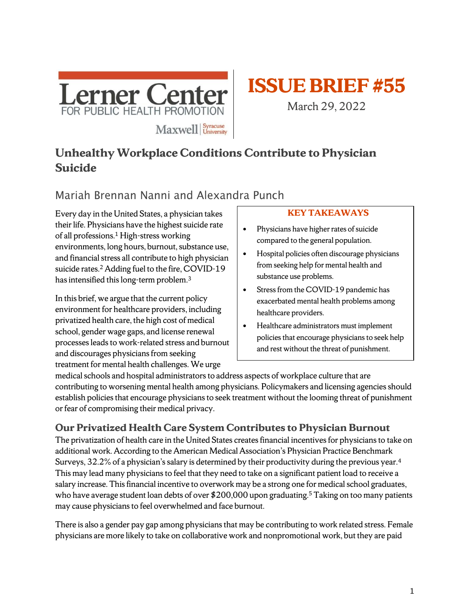



March 29, 2022

# **Unhealthy Workplace Conditions Contribute to Physician Suicide**

# Mariah Brennan Nanni and Alexandra Punch

Every day in the United States, a physician takes their life. Physicians have the highest suicide rate of all professions.<sup>1</sup> High-stress working environments, long hours, burnout, substance use, and financial stress all contribute to high physician suicide rates.<sup>2</sup> Adding fuel to the fire, COVID-19 has intensified this long-term problem.<sup>3</sup>

In this brief, we argue that the current policy environment for healthcare providers, including privatized health care, the high cost of medical school, gender wage gaps, and license renewal processesleadsto work-related stress and burnout and discourages physicians from seeking treatment for mental health challenges. We urge

## **KEY TAKEAWAYS**

- Physicians have higher rates of suicide compared to the general population.
- Hospital policies often discourage physicians from seeking help for mental health and substance use problems.
- Stress from the COVID-19 pandemic has exacerbated mental health problems among healthcare providers.
- Healthcare administrators must implement policies that encourage physicians to seek help and rest without the threat of punishment.

medical schools and hospital administrators to address aspects of workplace culture that are contributing to worsening mental health among physicians. Policymakers and licensing agencies should establish policies that encourage physicians to seek treatment without the looming threat of punishment or fear of compromising their medical privacy.

# **Our Privatized Health Care System Contributes to Physician Burnout**

The privatization of health care in the United States creates financial incentives for physicians to take on additional work. According to the American Medical Association's Physician Practice Benchmark Surveys, 32.2% of a physician's salary is determined by their productivity during the previous year. $^{\rm 4}$ This may lead many physicians to feel that they need to take on a significant patient load to receive a salary increase. This financial incentive to overwork may be a strong one for medical school graduates, who have average student loan debts of over \$200,000 upon graduating. <sup>5</sup> Taking on too many patients may cause physicians to feel overwhelmed and face burnout.

There is also a gender pay gap among physicians that may be contributing to work related stress. Female physicians are more likely to take on collaborative work and nonpromotional work, but they are paid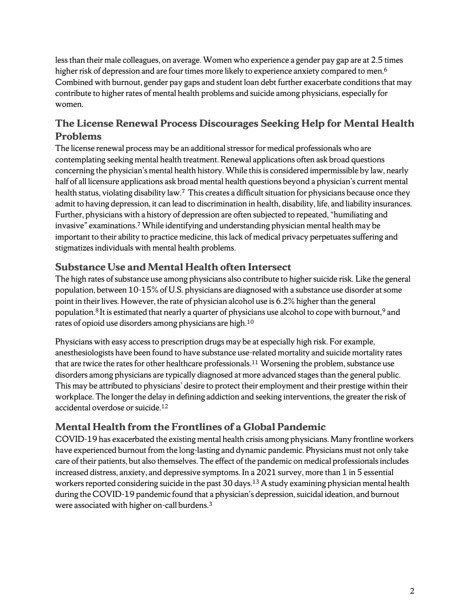less than their male colleagues, on average. Women who experience a gender pay gap are at 2.5 times higher risk of depression and are four times more likely to experience anxiety compared to men. $^6\,$ Combined with burnout, gender pay gaps and student loan debt further exacerbate conditionsthat may contribute to higher rates of mental health problems and suicide among physicians, especially for women.

## **The License Renewal Process Discourages Seeking Help for Mental Health Problems**

The license renewal process may be an additional stressor for medical professionals who are contemplating seeking mental health treatment. Renewal applications often ask broad questions concerning the physician's mental health history. While this is considered impermissible by law, nearly half of all licensure applications ask broad mental health questions beyond a physician's current mental health status, violating disability law.<sup>7</sup> This creates a difficult situation for physicians because once they admit to having depression, it can lead to discrimination in health, disability, life, and liability insurances. Further, physicians with a history of depression are often subjected to repeated, "humiliating and invasive" examinations.<sup>7</sup>While identifying and understanding physician mental health may be important to their ability to practice medicine, thislack of medical privacy perpetuates suffering and stigmatizes individuals with mental health problems.

## **Substance Use and Mental Health often Intersect**

The high rates of substance use among physicians also contribute to higher suicide risk. Like the general population, between 10-15% of U.S. physicians are diagnosed with a substance use disorder at some point in their lives. However, the rate of physician alcohol use is 6.2% higher than the general population.<sup>8</sup> It is estimated that nearly a quarter of physicians use alcohol to cope with burnout,<sup>9</sup> and rates of opioid use disorders among physicians are high.<sup>10</sup>

Physicians with easy access to prescription drugs may be at especially high risk. For example, anesthesiologists have been found to have substance use-related mortality and suicide mortality rates that are twice the rates for other healthcare professionals. <sup>11</sup> Worsening the problem, substance use disorders among physicians are typically diagnosed at more advanced stages than the general public. This may be attributed to physicians' desire to protect their employment and their prestige within their workplace. The longer the delay in defining addiction and seeking interventions, the greater the risk of accidental overdose or suicide.<sup>12</sup>

# **Mental Health from the Frontlines of a Global Pandemic**

COVID-19 has exacerbated the existing mental health crisis among physicians. Many frontline workers have experienced burnout from the long-lasting and dynamic pandemic. Physicians must not only take care of their patients, but also themselves. The effect of the pandemic on medical professionals includes increased distress, anxiety, and depressive symptoms. In a 2021 survey, more than 1 in 5 essential workers reported considering suicide in the past 30 days.<sup>13</sup> A study examining physician mental health during the COVID-19 pandemic found that a physician's depression, suicidal ideation, and burnout were associated with higher on-call burdens.3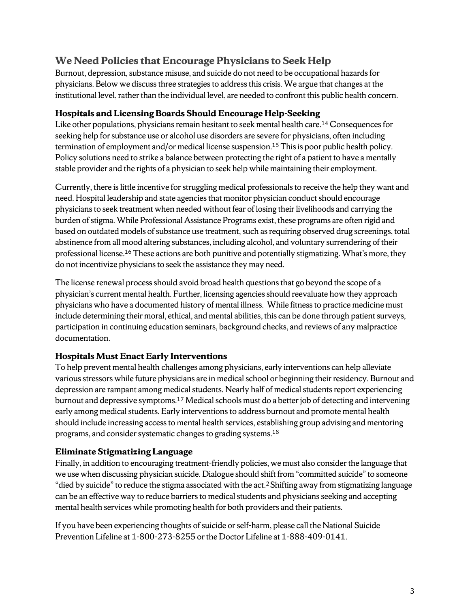## **We Need Policies that Encourage Physicians to Seek Help**

Burnout, depression, substance misuse, and suicide do not need to be occupational hazards for physicians. Below we discuss three strategies to address this crisis. We argue that changes at the institutional level, rather than the individual level, are needed to confront this public health concern.

#### **Hospitals and Licensing Boards Should Encourage Help-Seeking**

Like other populations, physicians remain hesitant to seek mental health care.<sup>14</sup> Consequences for seeking help for substance use or alcohol use disorders are severe for physicians, often including termination of employment and/or medical license suspension.<sup>15</sup> This is poor public health policy. Policy solutions need to strike a balance between protecting the right of a patient to have a mentally stable provider and the rights of a physician to seek help while maintaining their employment.

Currently, there is little incentive for struggling medical professionals to receive the help they want and need. Hospital leadership and state agencies that monitor physician conduct should encourage physicians to seek treatment when needed without fear of losing their livelihoods and carrying the burden of stigma. While Professional Assistance Programs exist, these programs are often rigid and based on outdated models of substance use treatment, such as requiring observed drug screenings, total abstinence from all mood altering substances, including alcohol, and voluntary surrendering of their professional license.<sup>16</sup> These actions are both punitive and potentially stigmatizing. What's more, they do not incentivize physicians to seek the assistance they may need.

The license renewal process should avoid broad health questions that go beyond the scope of a physician's current mental health. Further, licensing agencies should reevaluate how they approach physicians who have a documented history of mental illness. While fitness to practice medicine must include determining their moral, ethical, and mental abilities, this can be done through patient surveys, participation in continuing education seminars, background checks, and reviews of any malpractice documentation.

## **Hospitals Must Enact Early Interventions**

To help prevent mental health challenges among physicians, early interventions can help alleviate various stressors while future physicians are in medical school or beginning their residency. Burnout and depression are rampant among medical students. Nearly half of medical students report experiencing burnout and depressive symptoms.<sup>17</sup> Medical schools must do a better job of detecting and intervening early among medical students. Early interventions to address burnout and promote mental health should include increasing access to mental health services, establishing group advising and mentoring programs, and consider systematic changes to grading systems.<sup>18</sup>

## **Eliminate Stigmatizing Language**

Finally, in addition to encouraging treatment-friendly policies, we must also consider the language that we use when discussing physician suicide. Dialogue should shift from "committed suicide" to someone "died by suicide" to reduce the stigma associated with the act.<sup>2</sup> Shifting away from stigmatizing language can be an effective way to reduce barriers to medical students and physicians seeking and accepting mental health services while promoting health for both providers and their patients.

If you have been experiencing thoughts of suicide or self-harm, please call the National Suicide Prevention Lifeline at 1-800-273-8255 or the Doctor Lifeline at 1-888-409-0141.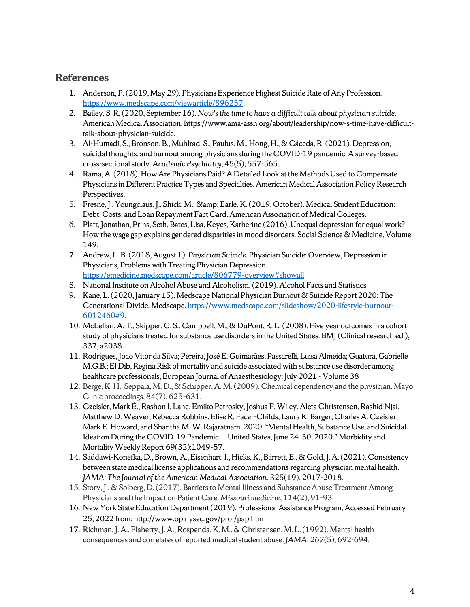## **References**

- 1. Anderson, P. (2019, May 29). Physicians Experience Highest Suicide Rate of Any Profession. [https://www.medscape.com/viewarticle/896257.](https://www.medscape.com/viewarticle/896257)
- 2. Bailey, S. R. (2020, September 16). *Now's the time to have a difficult talk about physician suicide*. American Medical Association. https://www.ama-assn.org/about/leadership/now-s-time-have-difficulttalk-about-physician-suicide.
- 3. Al-Humadi, S., Bronson, B., Muhlrad, S., Paulus, M., Hong, H., & Cáceda, R. (2021). Depression, suicidal thoughts, and burnout among physicians during the COVID-19 pandemic: A survey-based cross-sectional study. *Academic Psychiatry*, 45(5), 557-565.
- 4. Rama, A. (2018). How Are Physicians Paid? A Detailed Look at the Methods Used to Compensate Physicians in Different Practice Types and Specialties. American Medical Association Policy Research Perspectives.
- 5. Fresne, J., Youngclaus, J., Shick, M., & Earle, K. (2019, October). Medical Student Education: Debt, Costs, and Loan Repayment Fact Card. American Association of Medical Colleges.
- 6. Platt, Jonathan, Prins, Seth, Bates, Lisa, Keyes, Katherine (2016). Unequal depression for equal work? How the wage gap explains gendered disparities in mood disorders. Social Science & Medicine, Volume 149.
- 7. Andrew, L. B. (2018, August 1). *Physician Suicide*. Physician Suicide: Overview, Depression in Physicians, Problems with Treating Physician Depression. <https://emedicine.medscape.com/article/806779-overview#showall>
- 8. National Institute on Alcohol Abuse and Alcoholism. (2019). Alcohol Facts and Statistics.
- 9. Kane, L. (2020, January 15). Medscape National Physician Burnout & Suicide Report 2020: The Generational Divide. Medscape[. https://www.medscape.com/slideshow/2020-lifestyle-burnout-](https://www.medscape.com/slideshow/2020-lifestyle-burnout-6012460#9)[6012460#9.](https://www.medscape.com/slideshow/2020-lifestyle-burnout-6012460#9)
- 10. McLellan, A. T., Skipper, G. S., Campbell, M., & DuPont, R. L. (2008). Five year outcomes in a cohort study of physicians treated for substance use disorders in the United States. BMJ (Clinical research ed.), 337, a2038.
- 11. Rodrigues, Joao Vitor da Silva; Pereira, José E. Guimarães; Passarelli, Luisa Almeida; Guatura, Gabrielle M.G.B.; El Dib, Regina Risk of mortality and suicide associated with substance use disorder among healthcare professionals, European Journal of Anaesthesiology: July 2021 - Volume 38
- 12. Berge, K. H., Seppala, M. D., & Schipper, A. M. (2009). Chemical dependency and the physician. Mayo Clinic proceedings, 84(7), 625–631.
- 13. Czeisler, Mark É., Rashon I. Lane, Emiko Petrosky, Joshua F. Wiley, Aleta Christensen, Rashid Njai, Matthew D. Weaver, Rebecca Robbins, Elise R. Facer-Childs, Laura K. Barger, Charles A. Czeisler, Mark E. Howard, and Shantha M. W. Rajaratnam. 2020. "Mental Health, Substance Use, and Suicidal Ideation During the COVID-19 Pandemic — United States, June 24–30, 2020." Morbidity and Mortality Weekly Report 69(32):1049–57.
- 14. Saddawi-Konefka, D., Brown, A., Eisenhart, I., Hicks, K., Barrett, E., & Gold, J. A. (2021). Consistency between state medical license applications and recommendations regarding physician mental health. *JAMA: The Journal of the American Medical Association*, 325(19), 2017-2018.
- 15. Story, J., & Solberg, D. (2017). Barriers to Mental Illness and Substance Abuse Treatment Among Physicians and the Impact on Patient Care. *Missouri medicine*, *114*(2), 91–93.
- 16. New York State Education Department (2019), Professional Assistance Program, Accessed February 25, 2022 from: http://www.op.nysed.gov/prof/pap.htm
- 17. Richman, J. A., Flaherty, J. A., Rospenda, K. M., & Christensen, M. L. (1992). Mental health consequences and correlates of reported medical student abuse. *JAMA*, *267*(5), 692-694.